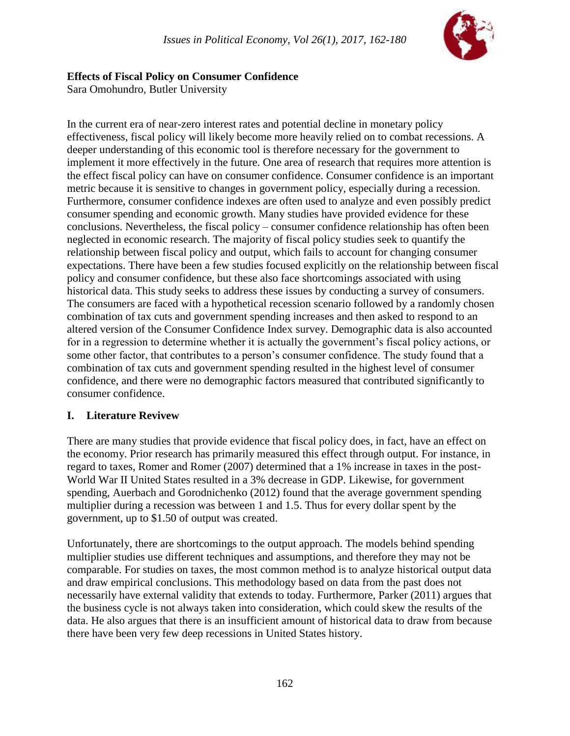

### **Effects of Fiscal Policy on Consumer Confidence**

Sara Omohundro, Butler University

In the current era of near-zero interest rates and potential decline in monetary policy effectiveness, fiscal policy will likely become more heavily relied on to combat recessions. A deeper understanding of this economic tool is therefore necessary for the government to implement it more effectively in the future. One area of research that requires more attention is the effect fiscal policy can have on consumer confidence. Consumer confidence is an important metric because it is sensitive to changes in government policy, especially during a recession. Furthermore, consumer confidence indexes are often used to analyze and even possibly predict consumer spending and economic growth. Many studies have provided evidence for these conclusions. Nevertheless, the fiscal policy – consumer confidence relationship has often been neglected in economic research. The majority of fiscal policy studies seek to quantify the relationship between fiscal policy and output, which fails to account for changing consumer expectations. There have been a few studies focused explicitly on the relationship between fiscal policy and consumer confidence, but these also face shortcomings associated with using historical data. This study seeks to address these issues by conducting a survey of consumers. The consumers are faced with a hypothetical recession scenario followed by a randomly chosen combination of tax cuts and government spending increases and then asked to respond to an altered version of the Consumer Confidence Index survey. Demographic data is also accounted for in a regression to determine whether it is actually the government's fiscal policy actions, or some other factor, that contributes to a person's consumer confidence. The study found that a combination of tax cuts and government spending resulted in the highest level of consumer confidence, and there were no demographic factors measured that contributed significantly to consumer confidence.

### **I. Literature Revivew**

There are many studies that provide evidence that fiscal policy does, in fact, have an effect on the economy. Prior research has primarily measured this effect through output. For instance, in regard to taxes, Romer and Romer (2007) determined that a 1% increase in taxes in the post-World War II United States resulted in a 3% decrease in GDP. Likewise, for government spending, Auerbach and Gorodnichenko (2012) found that the average government spending multiplier during a recession was between 1 and 1.5. Thus for every dollar spent by the government, up to \$1.50 of output was created.

Unfortunately, there are shortcomings to the output approach. The models behind spending multiplier studies use different techniques and assumptions, and therefore they may not be comparable. For studies on taxes, the most common method is to analyze historical output data and draw empirical conclusions. This methodology based on data from the past does not necessarily have external validity that extends to today. Furthermore, Parker (2011) argues that the business cycle is not always taken into consideration, which could skew the results of the data. He also argues that there is an insufficient amount of historical data to draw from because there have been very few deep recessions in United States history.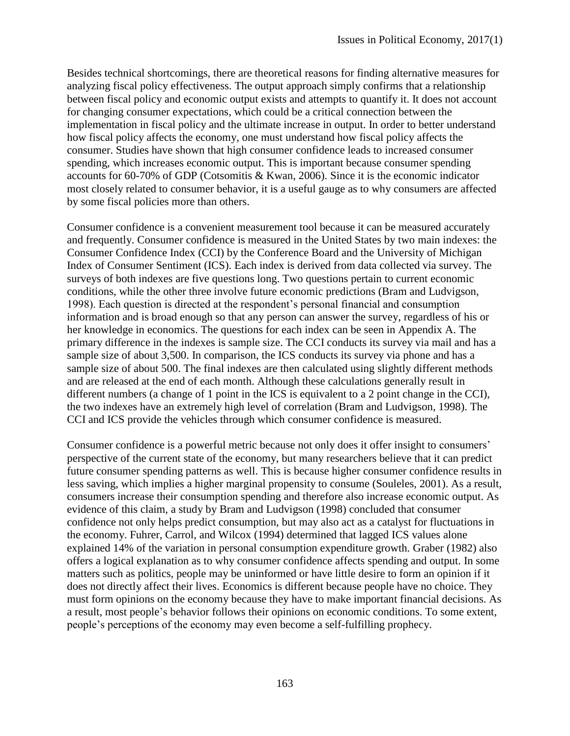Besides technical shortcomings, there are theoretical reasons for finding alternative measures for analyzing fiscal policy effectiveness. The output approach simply confirms that a relationship between fiscal policy and economic output exists and attempts to quantify it. It does not account for changing consumer expectations, which could be a critical connection between the implementation in fiscal policy and the ultimate increase in output. In order to better understand how fiscal policy affects the economy, one must understand how fiscal policy affects the consumer. Studies have shown that high consumer confidence leads to increased consumer spending, which increases economic output. This is important because consumer spending accounts for 60-70% of GDP (Cotsomitis & Kwan, 2006). Since it is the economic indicator most closely related to consumer behavior, it is a useful gauge as to why consumers are affected by some fiscal policies more than others.

Consumer confidence is a convenient measurement tool because it can be measured accurately and frequently. Consumer confidence is measured in the United States by two main indexes: the Consumer Confidence Index (CCI) by the Conference Board and the University of Michigan Index of Consumer Sentiment (ICS). Each index is derived from data collected via survey. The surveys of both indexes are five questions long. Two questions pertain to current economic conditions, while the other three involve future economic predictions (Bram and Ludvigson, 1998). Each question is directed at the respondent's personal financial and consumption information and is broad enough so that any person can answer the survey, regardless of his or her knowledge in economics. The questions for each index can be seen in Appendix A. The primary difference in the indexes is sample size. The CCI conducts its survey via mail and has a sample size of about 3,500. In comparison, the ICS conducts its survey via phone and has a sample size of about 500. The final indexes are then calculated using slightly different methods and are released at the end of each month. Although these calculations generally result in different numbers (a change of 1 point in the ICS is equivalent to a 2 point change in the CCI), the two indexes have an extremely high level of correlation (Bram and Ludvigson, 1998). The CCI and ICS provide the vehicles through which consumer confidence is measured.

Consumer confidence is a powerful metric because not only does it offer insight to consumers' perspective of the current state of the economy, but many researchers believe that it can predict future consumer spending patterns as well. This is because higher consumer confidence results in less saving, which implies a higher marginal propensity to consume (Souleles, 2001). As a result, consumers increase their consumption spending and therefore also increase economic output. As evidence of this claim, a study by Bram and Ludvigson (1998) concluded that consumer confidence not only helps predict consumption, but may also act as a catalyst for fluctuations in the economy. Fuhrer, Carrol, and Wilcox (1994) determined that lagged ICS values alone explained 14% of the variation in personal consumption expenditure growth. Graber (1982) also offers a logical explanation as to why consumer confidence affects spending and output. In some matters such as politics, people may be uninformed or have little desire to form an opinion if it does not directly affect their lives. Economics is different because people have no choice. They must form opinions on the economy because they have to make important financial decisions. As a result, most people's behavior follows their opinions on economic conditions. To some extent, people's perceptions of the economy may even become a self-fulfilling prophecy.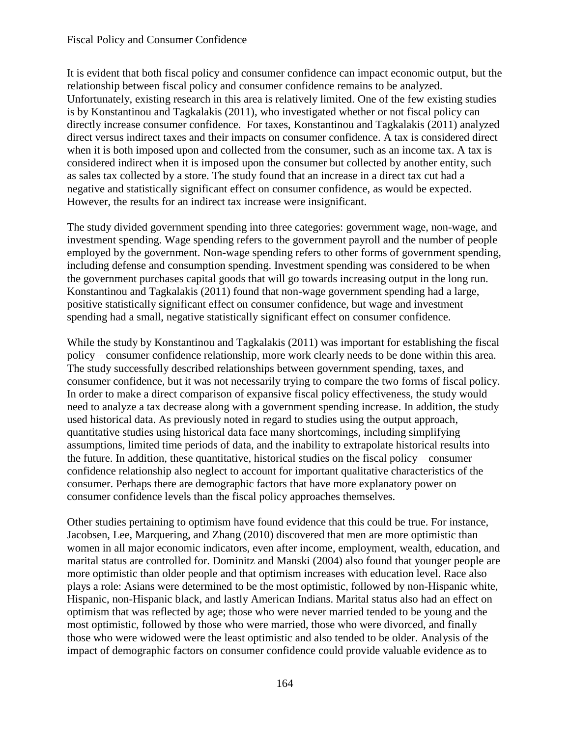It is evident that both fiscal policy and consumer confidence can impact economic output, but the relationship between fiscal policy and consumer confidence remains to be analyzed. Unfortunately, existing research in this area is relatively limited. One of the few existing studies is by Konstantinou and Tagkalakis (2011), who investigated whether or not fiscal policy can directly increase consumer confidence. For taxes, Konstantinou and Tagkalakis (2011) analyzed direct versus indirect taxes and their impacts on consumer confidence. A tax is considered direct when it is both imposed upon and collected from the consumer, such as an income tax. A tax is considered indirect when it is imposed upon the consumer but collected by another entity, such as sales tax collected by a store. The study found that an increase in a direct tax cut had a negative and statistically significant effect on consumer confidence, as would be expected. However, the results for an indirect tax increase were insignificant.

The study divided government spending into three categories: government wage, non-wage, and investment spending. Wage spending refers to the government payroll and the number of people employed by the government. Non-wage spending refers to other forms of government spending, including defense and consumption spending. Investment spending was considered to be when the government purchases capital goods that will go towards increasing output in the long run. Konstantinou and Tagkalakis (2011) found that non-wage government spending had a large, positive statistically significant effect on consumer confidence, but wage and investment spending had a small, negative statistically significant effect on consumer confidence.

While the study by Konstantinou and Tagkalakis (2011) was important for establishing the fiscal policy – consumer confidence relationship, more work clearly needs to be done within this area. The study successfully described relationships between government spending, taxes, and consumer confidence, but it was not necessarily trying to compare the two forms of fiscal policy. In order to make a direct comparison of expansive fiscal policy effectiveness, the study would need to analyze a tax decrease along with a government spending increase. In addition, the study used historical data. As previously noted in regard to studies using the output approach, quantitative studies using historical data face many shortcomings, including simplifying assumptions, limited time periods of data, and the inability to extrapolate historical results into the future. In addition, these quantitative, historical studies on the fiscal policy – consumer confidence relationship also neglect to account for important qualitative characteristics of the consumer. Perhaps there are demographic factors that have more explanatory power on consumer confidence levels than the fiscal policy approaches themselves.

Other studies pertaining to optimism have found evidence that this could be true. For instance, Jacobsen, Lee, Marquering, and Zhang (2010) discovered that men are more optimistic than women in all major economic indicators, even after income, employment, wealth, education, and marital status are controlled for. Dominitz and Manski (2004) also found that younger people are more optimistic than older people and that optimism increases with education level. Race also plays a role: Asians were determined to be the most optimistic, followed by non-Hispanic white, Hispanic, non-Hispanic black, and lastly American Indians. Marital status also had an effect on optimism that was reflected by age; those who were never married tended to be young and the most optimistic, followed by those who were married, those who were divorced, and finally those who were widowed were the least optimistic and also tended to be older. Analysis of the impact of demographic factors on consumer confidence could provide valuable evidence as to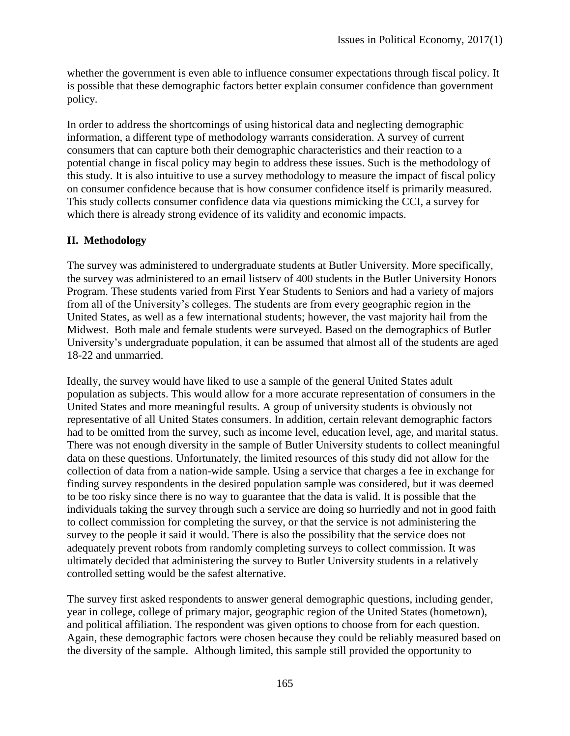whether the government is even able to influence consumer expectations through fiscal policy. It is possible that these demographic factors better explain consumer confidence than government policy.

In order to address the shortcomings of using historical data and neglecting demographic information, a different type of methodology warrants consideration. A survey of current consumers that can capture both their demographic characteristics and their reaction to a potential change in fiscal policy may begin to address these issues. Such is the methodology of this study. It is also intuitive to use a survey methodology to measure the impact of fiscal policy on consumer confidence because that is how consumer confidence itself is primarily measured. This study collects consumer confidence data via questions mimicking the CCI, a survey for which there is already strong evidence of its validity and economic impacts.

### **II. Methodology**

The survey was administered to undergraduate students at Butler University. More specifically, the survey was administered to an email listserv of 400 students in the Butler University Honors Program. These students varied from First Year Students to Seniors and had a variety of majors from all of the University's colleges. The students are from every geographic region in the United States, as well as a few international students; however, the vast majority hail from the Midwest. Both male and female students were surveyed. Based on the demographics of Butler University's undergraduate population, it can be assumed that almost all of the students are aged 18-22 and unmarried.

Ideally, the survey would have liked to use a sample of the general United States adult population as subjects. This would allow for a more accurate representation of consumers in the United States and more meaningful results. A group of university students is obviously not representative of all United States consumers. In addition, certain relevant demographic factors had to be omitted from the survey, such as income level, education level, age, and marital status. There was not enough diversity in the sample of Butler University students to collect meaningful data on these questions. Unfortunately, the limited resources of this study did not allow for the collection of data from a nation-wide sample. Using a service that charges a fee in exchange for finding survey respondents in the desired population sample was considered, but it was deemed to be too risky since there is no way to guarantee that the data is valid. It is possible that the individuals taking the survey through such a service are doing so hurriedly and not in good faith to collect commission for completing the survey, or that the service is not administering the survey to the people it said it would. There is also the possibility that the service does not adequately prevent robots from randomly completing surveys to collect commission. It was ultimately decided that administering the survey to Butler University students in a relatively controlled setting would be the safest alternative.

The survey first asked respondents to answer general demographic questions, including gender, year in college, college of primary major, geographic region of the United States (hometown), and political affiliation. The respondent was given options to choose from for each question. Again, these demographic factors were chosen because they could be reliably measured based on the diversity of the sample. Although limited, this sample still provided the opportunity to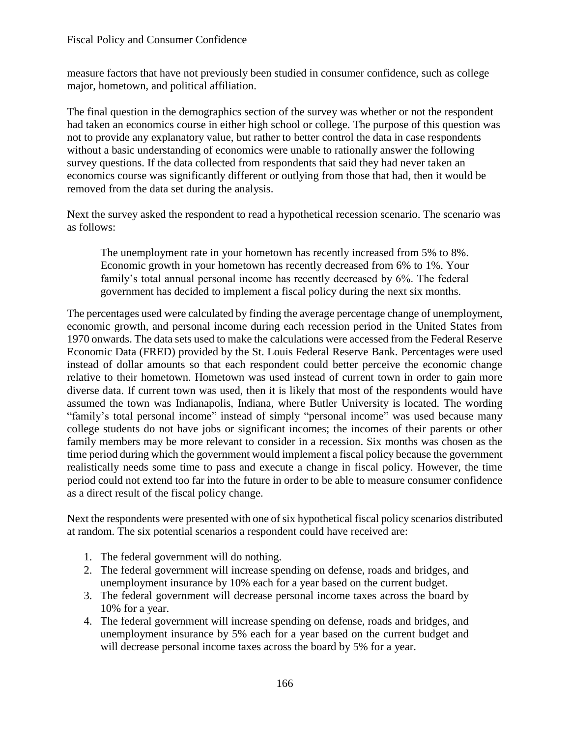measure factors that have not previously been studied in consumer confidence, such as college major, hometown, and political affiliation.

The final question in the demographics section of the survey was whether or not the respondent had taken an economics course in either high school or college. The purpose of this question was not to provide any explanatory value, but rather to better control the data in case respondents without a basic understanding of economics were unable to rationally answer the following survey questions. If the data collected from respondents that said they had never taken an economics course was significantly different or outlying from those that had, then it would be removed from the data set during the analysis.

Next the survey asked the respondent to read a hypothetical recession scenario. The scenario was as follows:

The unemployment rate in your hometown has recently increased from 5% to 8%. Economic growth in your hometown has recently decreased from 6% to 1%. Your family's total annual personal income has recently decreased by 6%. The federal government has decided to implement a fiscal policy during the next six months.

The percentages used were calculated by finding the average percentage change of unemployment, economic growth, and personal income during each recession period in the United States from 1970 onwards. The data sets used to make the calculations were accessed from the Federal Reserve Economic Data (FRED) provided by the St. Louis Federal Reserve Bank. Percentages were used instead of dollar amounts so that each respondent could better perceive the economic change relative to their hometown. Hometown was used instead of current town in order to gain more diverse data. If current town was used, then it is likely that most of the respondents would have assumed the town was Indianapolis, Indiana, where Butler University is located. The wording "family's total personal income" instead of simply "personal income" was used because many college students do not have jobs or significant incomes; the incomes of their parents or other family members may be more relevant to consider in a recession. Six months was chosen as the time period during which the government would implement a fiscal policy because the government realistically needs some time to pass and execute a change in fiscal policy. However, the time period could not extend too far into the future in order to be able to measure consumer confidence as a direct result of the fiscal policy change.

Next the respondents were presented with one of six hypothetical fiscal policy scenarios distributed at random. The six potential scenarios a respondent could have received are:

- 1. The federal government will do nothing.
- 2. The federal government will increase spending on defense, roads and bridges, and unemployment insurance by 10% each for a year based on the current budget.
- 3. The federal government will decrease personal income taxes across the board by 10% for a year.
- 4. The federal government will increase spending on defense, roads and bridges, and unemployment insurance by 5% each for a year based on the current budget and will decrease personal income taxes across the board by 5% for a year.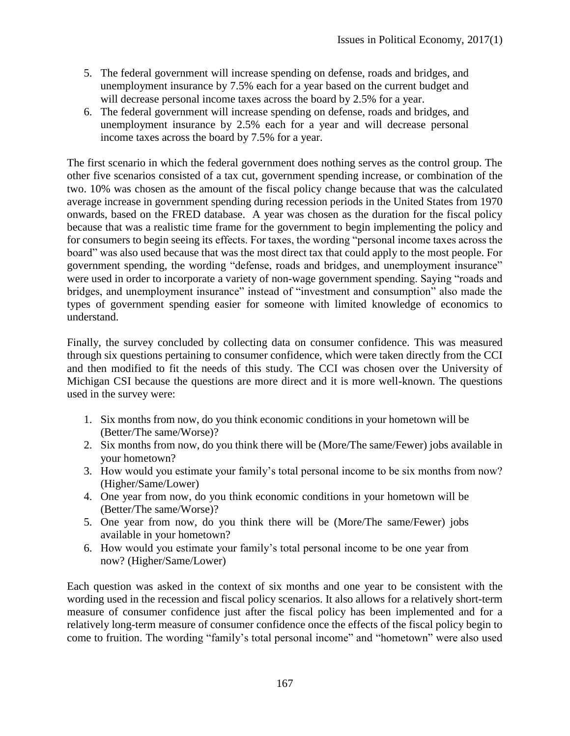- 5. The federal government will increase spending on defense, roads and bridges, and unemployment insurance by 7.5% each for a year based on the current budget and will decrease personal income taxes across the board by 2.5% for a year.
- 6. The federal government will increase spending on defense, roads and bridges, and unemployment insurance by 2.5% each for a year and will decrease personal income taxes across the board by 7.5% for a year.

The first scenario in which the federal government does nothing serves as the control group. The other five scenarios consisted of a tax cut, government spending increase, or combination of the two. 10% was chosen as the amount of the fiscal policy change because that was the calculated average increase in government spending during recession periods in the United States from 1970 onwards, based on the FRED database. A year was chosen as the duration for the fiscal policy because that was a realistic time frame for the government to begin implementing the policy and for consumers to begin seeing its effects. For taxes, the wording "personal income taxes across the board" was also used because that was the most direct tax that could apply to the most people. For government spending, the wording "defense, roads and bridges, and unemployment insurance" were used in order to incorporate a variety of non-wage government spending. Saying "roads and bridges, and unemployment insurance" instead of "investment and consumption" also made the types of government spending easier for someone with limited knowledge of economics to understand.

Finally, the survey concluded by collecting data on consumer confidence. This was measured through six questions pertaining to consumer confidence, which were taken directly from the CCI and then modified to fit the needs of this study. The CCI was chosen over the University of Michigan CSI because the questions are more direct and it is more well-known. The questions used in the survey were:

- 1. Six months from now, do you think economic conditions in your hometown will be (Better/The same/Worse)?
- 2. Six months from now, do you think there will be (More/The same/Fewer) jobs available in your hometown?
- 3. How would you estimate your family's total personal income to be six months from now? (Higher/Same/Lower)
- 4. One year from now, do you think economic conditions in your hometown will be (Better/The same/Worse)?
- 5. One year from now, do you think there will be (More/The same/Fewer) jobs available in your hometown?
- 6. How would you estimate your family's total personal income to be one year from now? (Higher/Same/Lower)

Each question was asked in the context of six months and one year to be consistent with the wording used in the recession and fiscal policy scenarios. It also allows for a relatively short-term measure of consumer confidence just after the fiscal policy has been implemented and for a relatively long-term measure of consumer confidence once the effects of the fiscal policy begin to come to fruition. The wording "family's total personal income" and "hometown" were also used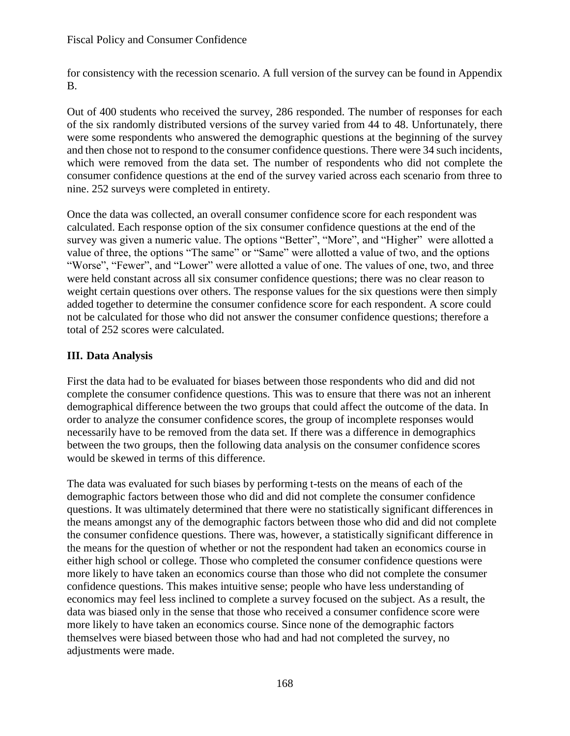for consistency with the recession scenario. A full version of the survey can be found in Appendix B.

Out of 400 students who received the survey, 286 responded. The number of responses for each of the six randomly distributed versions of the survey varied from 44 to 48. Unfortunately, there were some respondents who answered the demographic questions at the beginning of the survey and then chose not to respond to the consumer confidence questions. There were 34 such incidents, which were removed from the data set. The number of respondents who did not complete the consumer confidence questions at the end of the survey varied across each scenario from three to nine. 252 surveys were completed in entirety.

Once the data was collected, an overall consumer confidence score for each respondent was calculated. Each response option of the six consumer confidence questions at the end of the survey was given a numeric value. The options "Better", "More", and "Higher" were allotted a value of three, the options "The same" or "Same" were allotted a value of two, and the options "Worse", "Fewer", and "Lower" were allotted a value of one. The values of one, two, and three were held constant across all six consumer confidence questions; there was no clear reason to weight certain questions over others. The response values for the six questions were then simply added together to determine the consumer confidence score for each respondent. A score could not be calculated for those who did not answer the consumer confidence questions; therefore a total of 252 scores were calculated.

## **III. Data Analysis**

First the data had to be evaluated for biases between those respondents who did and did not complete the consumer confidence questions. This was to ensure that there was not an inherent demographical difference between the two groups that could affect the outcome of the data. In order to analyze the consumer confidence scores, the group of incomplete responses would necessarily have to be removed from the data set. If there was a difference in demographics between the two groups, then the following data analysis on the consumer confidence scores would be skewed in terms of this difference.

The data was evaluated for such biases by performing t-tests on the means of each of the demographic factors between those who did and did not complete the consumer confidence questions. It was ultimately determined that there were no statistically significant differences in the means amongst any of the demographic factors between those who did and did not complete the consumer confidence questions. There was, however, a statistically significant difference in the means for the question of whether or not the respondent had taken an economics course in either high school or college. Those who completed the consumer confidence questions were more likely to have taken an economics course than those who did not complete the consumer confidence questions. This makes intuitive sense; people who have less understanding of economics may feel less inclined to complete a survey focused on the subject. As a result, the data was biased only in the sense that those who received a consumer confidence score were more likely to have taken an economics course. Since none of the demographic factors themselves were biased between those who had and had not completed the survey, no adjustments were made.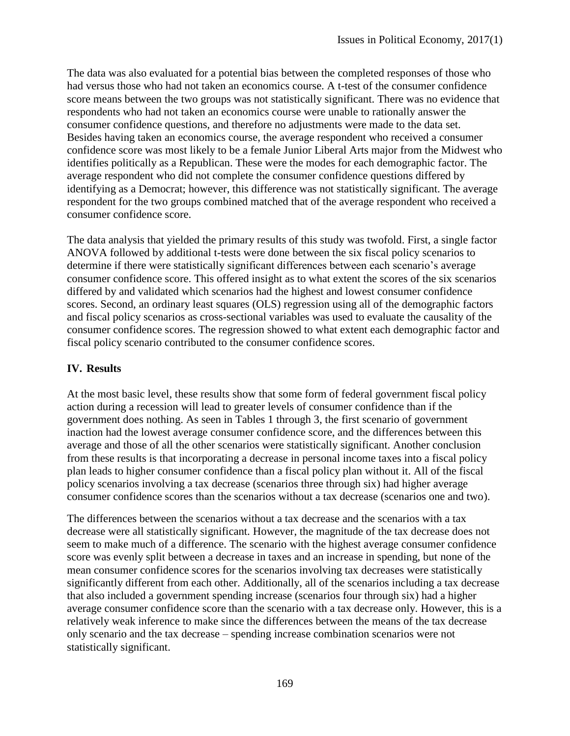The data was also evaluated for a potential bias between the completed responses of those who had versus those who had not taken an economics course. A t-test of the consumer confidence score means between the two groups was not statistically significant. There was no evidence that respondents who had not taken an economics course were unable to rationally answer the consumer confidence questions, and therefore no adjustments were made to the data set. Besides having taken an economics course, the average respondent who received a consumer confidence score was most likely to be a female Junior Liberal Arts major from the Midwest who identifies politically as a Republican. These were the modes for each demographic factor. The average respondent who did not complete the consumer confidence questions differed by identifying as a Democrat; however, this difference was not statistically significant. The average respondent for the two groups combined matched that of the average respondent who received a consumer confidence score.

The data analysis that yielded the primary results of this study was twofold. First, a single factor ANOVA followed by additional t-tests were done between the six fiscal policy scenarios to determine if there were statistically significant differences between each scenario's average consumer confidence score. This offered insight as to what extent the scores of the six scenarios differed by and validated which scenarios had the highest and lowest consumer confidence scores. Second, an ordinary least squares (OLS) regression using all of the demographic factors and fiscal policy scenarios as cross-sectional variables was used to evaluate the causality of the consumer confidence scores. The regression showed to what extent each demographic factor and fiscal policy scenario contributed to the consumer confidence scores.

### **IV. Results**

At the most basic level, these results show that some form of federal government fiscal policy action during a recession will lead to greater levels of consumer confidence than if the government does nothing. As seen in Tables 1 through 3, the first scenario of government inaction had the lowest average consumer confidence score, and the differences between this average and those of all the other scenarios were statistically significant. Another conclusion from these results is that incorporating a decrease in personal income taxes into a fiscal policy plan leads to higher consumer confidence than a fiscal policy plan without it. All of the fiscal policy scenarios involving a tax decrease (scenarios three through six) had higher average consumer confidence scores than the scenarios without a tax decrease (scenarios one and two).

The differences between the scenarios without a tax decrease and the scenarios with a tax decrease were all statistically significant. However, the magnitude of the tax decrease does not seem to make much of a difference. The scenario with the highest average consumer confidence score was evenly split between a decrease in taxes and an increase in spending, but none of the mean consumer confidence scores for the scenarios involving tax decreases were statistically significantly different from each other. Additionally, all of the scenarios including a tax decrease that also included a government spending increase (scenarios four through six) had a higher average consumer confidence score than the scenario with a tax decrease only. However, this is a relatively weak inference to make since the differences between the means of the tax decrease only scenario and the tax decrease – spending increase combination scenarios were not statistically significant.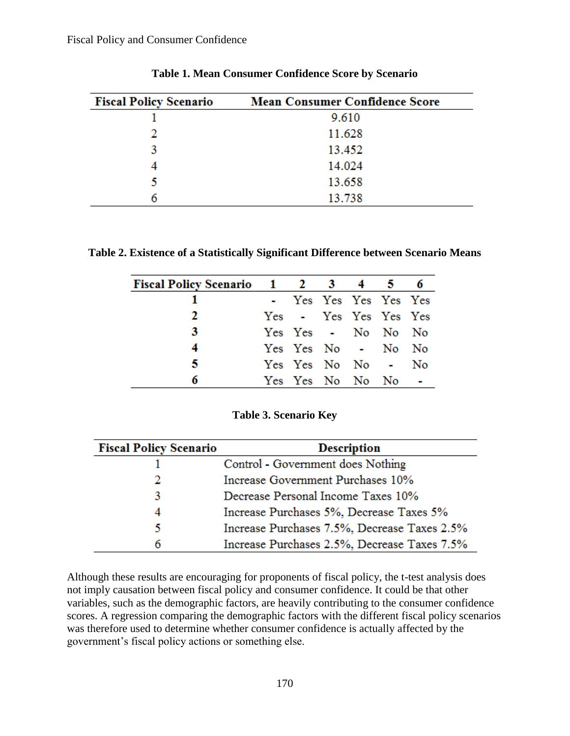| <b>Fiscal Policy Scenario</b> | <b>Mean Consumer Confidence Score</b> |
|-------------------------------|---------------------------------------|
|                               | 9.610                                 |
|                               | 11.628                                |
|                               | 13.452                                |
|                               | 14.024                                |
|                               | 13.658                                |
| n                             | 13.738                                |

#### **Table 1. Mean Consumer Confidence Score by Scenario**

**Table 2. Existence of a Statistically Significant Difference between Scenario Means**

| Fiscal Policy Scenario 1 2 3 4 5 6 |                       |  |  |
|------------------------------------|-----------------------|--|--|
|                                    | - Yes Yes Yes Yes Yes |  |  |
| <sup>2</sup>                       | Yes - Yes Yes Yes Yes |  |  |
| 3                                  | Yes Yes - No No No    |  |  |
| 4                                  | Yes Yes No - No No    |  |  |
| 5                                  | Yes Yes No No - No    |  |  |
| 6                                  | Yes Yes No No No -    |  |  |

| <b>Fiscal Policy Scenario</b> | <b>Description</b>                           |  |  |
|-------------------------------|----------------------------------------------|--|--|
|                               | Control - Government does Nothing            |  |  |
| 2                             | Increase Government Purchases 10%            |  |  |
| 3                             | Decrease Personal Income Taxes 10%           |  |  |
| 4                             | Increase Purchases 5%, Decrease Taxes 5%     |  |  |
| 5                             | Increase Purchases 7.5%, Decrease Taxes 2.5% |  |  |
| 6                             | Increase Purchases 2.5%, Decrease Taxes 7.5% |  |  |

Although these results are encouraging for proponents of fiscal policy, the t-test analysis does not imply causation between fiscal policy and consumer confidence. It could be that other variables, such as the demographic factors, are heavily contributing to the consumer confidence scores. A regression comparing the demographic factors with the different fiscal policy scenarios was therefore used to determine whether consumer confidence is actually affected by the government's fiscal policy actions or something else.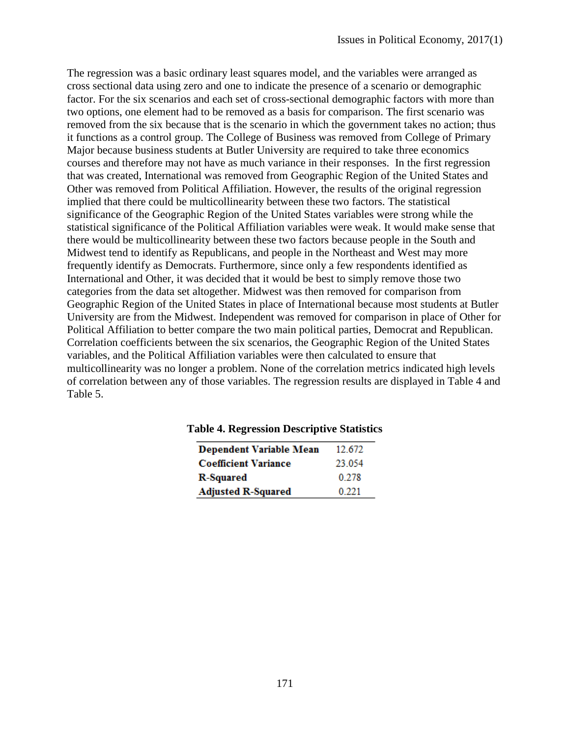The regression was a basic ordinary least squares model, and the variables were arranged as cross sectional data using zero and one to indicate the presence of a scenario or demographic factor. For the six scenarios and each set of cross-sectional demographic factors with more than two options, one element had to be removed as a basis for comparison. The first scenario was removed from the six because that is the scenario in which the government takes no action; thus it functions as a control group. The College of Business was removed from College of Primary Major because business students at Butler University are required to take three economics courses and therefore may not have as much variance in their responses. In the first regression that was created, International was removed from Geographic Region of the United States and Other was removed from Political Affiliation. However, the results of the original regression implied that there could be multicollinearity between these two factors. The statistical significance of the Geographic Region of the United States variables were strong while the statistical significance of the Political Affiliation variables were weak. It would make sense that there would be multicollinearity between these two factors because people in the South and Midwest tend to identify as Republicans, and people in the Northeast and West may more frequently identify as Democrats. Furthermore, since only a few respondents identified as International and Other, it was decided that it would be best to simply remove those two categories from the data set altogether. Midwest was then removed for comparison from Geographic Region of the United States in place of International because most students at Butler University are from the Midwest. Independent was removed for comparison in place of Other for Political Affiliation to better compare the two main political parties, Democrat and Republican. Correlation coefficients between the six scenarios, the Geographic Region of the United States variables, and the Political Affiliation variables were then calculated to ensure that multicollinearity was no longer a problem. None of the correlation metrics indicated high levels of correlation between any of those variables. The regression results are displayed in Table 4 and Table 5.

| <b>Dependent Variable Mean</b> | 12.672 |
|--------------------------------|--------|
| <b>Coefficient Variance</b>    | 23 054 |
| <b>R-Squared</b>               | 0.278  |
| <b>Adjusted R-Squared</b>      | 0.221  |

#### **Table 4. Regression Descriptive Statistics**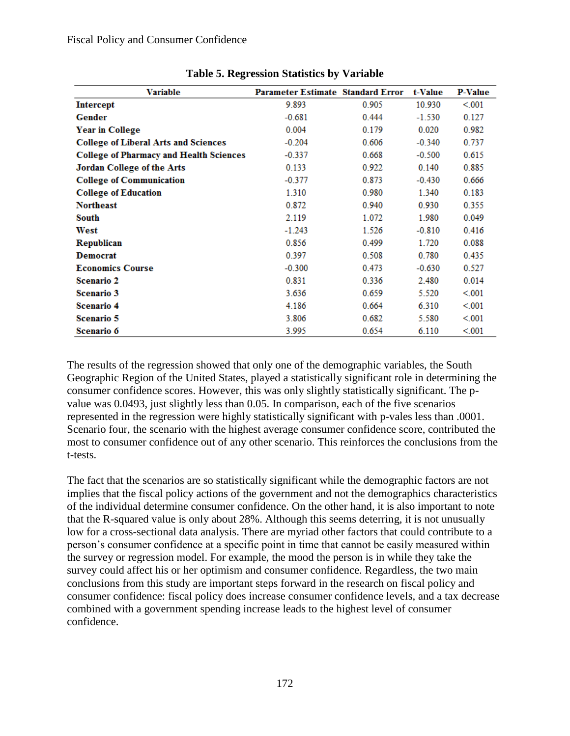| <b>Variable</b>                                | <b>Parameter Estimate Standard Error</b> |       | t-Value  | <b>P-Value</b> |
|------------------------------------------------|------------------------------------------|-------|----------|----------------|
| <b>Intercept</b>                               | 9.893                                    | 0.905 | 10.930   | < 001          |
| Gender                                         | $-0.681$                                 | 0.444 | $-1.530$ | 0.127          |
| <b>Year in College</b>                         | 0.004                                    | 0.179 | 0.020    | 0.982          |
| <b>College of Liberal Arts and Sciences</b>    | $-0.204$                                 | 0.606 | $-0.340$ | 0.737          |
| <b>College of Pharmacy and Health Sciences</b> | $-0.337$                                 | 0.668 | $-0.500$ | 0.615          |
| <b>Jordan College of the Arts</b>              | 0.133                                    | 0.922 | 0.140    | 0.885          |
| <b>College of Communication</b>                | $-0.377$                                 | 0.873 | $-0.430$ | 0.666          |
| <b>College of Education</b>                    | 1.310                                    | 0.980 | 1.340    | 0.183          |
| <b>Northeast</b>                               | 0.872                                    | 0.940 | 0.930    | 0.355          |
| South                                          | 2.119                                    | 1.072 | 1.980    | 0.049          |
| West                                           | $-1.243$                                 | 1.526 | $-0.810$ | 0.416          |
| Republican                                     | 0.856                                    | 0.499 | 1.720    | 0.088          |
| <b>Democrat</b>                                | 0.397                                    | 0.508 | 0.780    | 0.435          |
| <b>Economics Course</b>                        | $-0.300$                                 | 0.473 | $-0.630$ | 0.527          |
| <b>Scenario 2</b>                              | 0.831                                    | 0.336 | 2.480    | 0.014          |
| <b>Scenario 3</b>                              | 3.636                                    | 0.659 | 5.520    | < 001          |
| <b>Scenario 4</b>                              | 4.186                                    | 0.664 | 6.310    | < 001          |
| Scenario 5                                     | 3.806                                    | 0.682 | 5.580    | < 001          |
| Scenario 6                                     | 3.995                                    | 0.654 | 6.110    | < 001          |

| <b>Table 5. Regression Statistics by Variable</b> |  |  |
|---------------------------------------------------|--|--|
|                                                   |  |  |

The results of the regression showed that only one of the demographic variables, the South Geographic Region of the United States, played a statistically significant role in determining the consumer confidence scores. However, this was only slightly statistically significant. The pvalue was 0.0493, just slightly less than 0.05. In comparison, each of the five scenarios represented in the regression were highly statistically significant with p-vales less than .0001. Scenario four, the scenario with the highest average consumer confidence score, contributed the most to consumer confidence out of any other scenario. This reinforces the conclusions from the t-tests.

The fact that the scenarios are so statistically significant while the demographic factors are not implies that the fiscal policy actions of the government and not the demographics characteristics of the individual determine consumer confidence. On the other hand, it is also important to note that the R-squared value is only about 28%. Although this seems deterring, it is not unusually low for a cross-sectional data analysis. There are myriad other factors that could contribute to a person's consumer confidence at a specific point in time that cannot be easily measured within the survey or regression model. For example, the mood the person is in while they take the survey could affect his or her optimism and consumer confidence. Regardless, the two main conclusions from this study are important steps forward in the research on fiscal policy and consumer confidence: fiscal policy does increase consumer confidence levels, and a tax decrease combined with a government spending increase leads to the highest level of consumer confidence.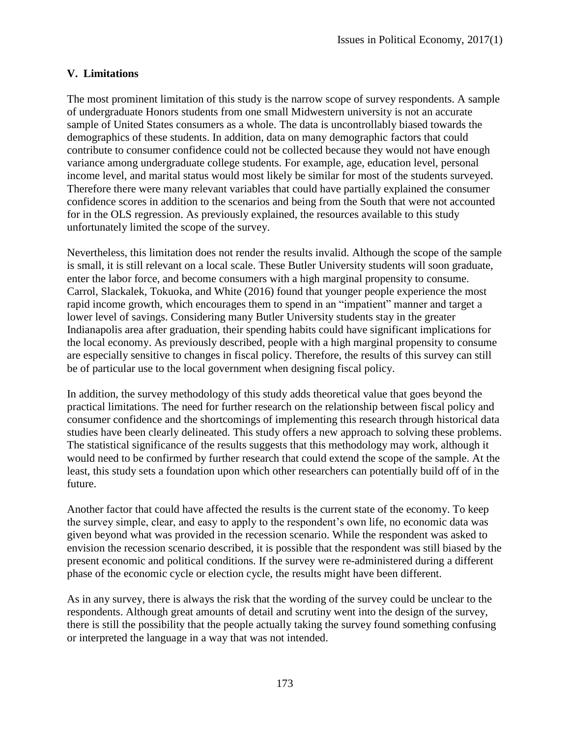### **V. Limitations**

The most prominent limitation of this study is the narrow scope of survey respondents. A sample of undergraduate Honors students from one small Midwestern university is not an accurate sample of United States consumers as a whole. The data is uncontrollably biased towards the demographics of these students. In addition, data on many demographic factors that could contribute to consumer confidence could not be collected because they would not have enough variance among undergraduate college students. For example, age, education level, personal income level, and marital status would most likely be similar for most of the students surveyed. Therefore there were many relevant variables that could have partially explained the consumer confidence scores in addition to the scenarios and being from the South that were not accounted for in the OLS regression. As previously explained, the resources available to this study unfortunately limited the scope of the survey.

Nevertheless, this limitation does not render the results invalid. Although the scope of the sample is small, it is still relevant on a local scale. These Butler University students will soon graduate, enter the labor force, and become consumers with a high marginal propensity to consume. Carrol, Slackalek, Tokuoka, and White (2016) found that younger people experience the most rapid income growth, which encourages them to spend in an "impatient" manner and target a lower level of savings. Considering many Butler University students stay in the greater Indianapolis area after graduation, their spending habits could have significant implications for the local economy. As previously described, people with a high marginal propensity to consume are especially sensitive to changes in fiscal policy. Therefore, the results of this survey can still be of particular use to the local government when designing fiscal policy.

In addition, the survey methodology of this study adds theoretical value that goes beyond the practical limitations. The need for further research on the relationship between fiscal policy and consumer confidence and the shortcomings of implementing this research through historical data studies have been clearly delineated. This study offers a new approach to solving these problems. The statistical significance of the results suggests that this methodology may work, although it would need to be confirmed by further research that could extend the scope of the sample. At the least, this study sets a foundation upon which other researchers can potentially build off of in the future.

Another factor that could have affected the results is the current state of the economy. To keep the survey simple, clear, and easy to apply to the respondent's own life, no economic data was given beyond what was provided in the recession scenario. While the respondent was asked to envision the recession scenario described, it is possible that the respondent was still biased by the present economic and political conditions. If the survey were re-administered during a different phase of the economic cycle or election cycle, the results might have been different.

As in any survey, there is always the risk that the wording of the survey could be unclear to the respondents. Although great amounts of detail and scrutiny went into the design of the survey, there is still the possibility that the people actually taking the survey found something confusing or interpreted the language in a way that was not intended.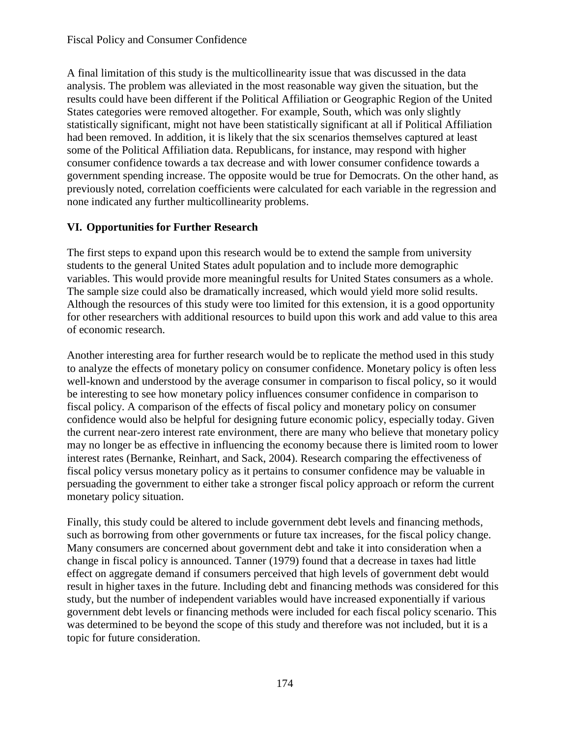A final limitation of this study is the multicollinearity issue that was discussed in the data analysis. The problem was alleviated in the most reasonable way given the situation, but the results could have been different if the Political Affiliation or Geographic Region of the United States categories were removed altogether. For example, South, which was only slightly statistically significant, might not have been statistically significant at all if Political Affiliation had been removed. In addition, it is likely that the six scenarios themselves captured at least some of the Political Affiliation data. Republicans, for instance, may respond with higher consumer confidence towards a tax decrease and with lower consumer confidence towards a government spending increase. The opposite would be true for Democrats. On the other hand, as previously noted, correlation coefficients were calculated for each variable in the regression and none indicated any further multicollinearity problems.

### **VI. Opportunities for Further Research**

The first steps to expand upon this research would be to extend the sample from university students to the general United States adult population and to include more demographic variables. This would provide more meaningful results for United States consumers as a whole. The sample size could also be dramatically increased, which would yield more solid results. Although the resources of this study were too limited for this extension, it is a good opportunity for other researchers with additional resources to build upon this work and add value to this area of economic research.

Another interesting area for further research would be to replicate the method used in this study to analyze the effects of monetary policy on consumer confidence. Monetary policy is often less well-known and understood by the average consumer in comparison to fiscal policy, so it would be interesting to see how monetary policy influences consumer confidence in comparison to fiscal policy. A comparison of the effects of fiscal policy and monetary policy on consumer confidence would also be helpful for designing future economic policy, especially today. Given the current near-zero interest rate environment, there are many who believe that monetary policy may no longer be as effective in influencing the economy because there is limited room to lower interest rates (Bernanke, Reinhart, and Sack, 2004). Research comparing the effectiveness of fiscal policy versus monetary policy as it pertains to consumer confidence may be valuable in persuading the government to either take a stronger fiscal policy approach or reform the current monetary policy situation.

Finally, this study could be altered to include government debt levels and financing methods, such as borrowing from other governments or future tax increases, for the fiscal policy change. Many consumers are concerned about government debt and take it into consideration when a change in fiscal policy is announced. Tanner (1979) found that a decrease in taxes had little effect on aggregate demand if consumers perceived that high levels of government debt would result in higher taxes in the future. Including debt and financing methods was considered for this study, but the number of independent variables would have increased exponentially if various government debt levels or financing methods were included for each fiscal policy scenario. This was determined to be beyond the scope of this study and therefore was not included, but it is a topic for future consideration.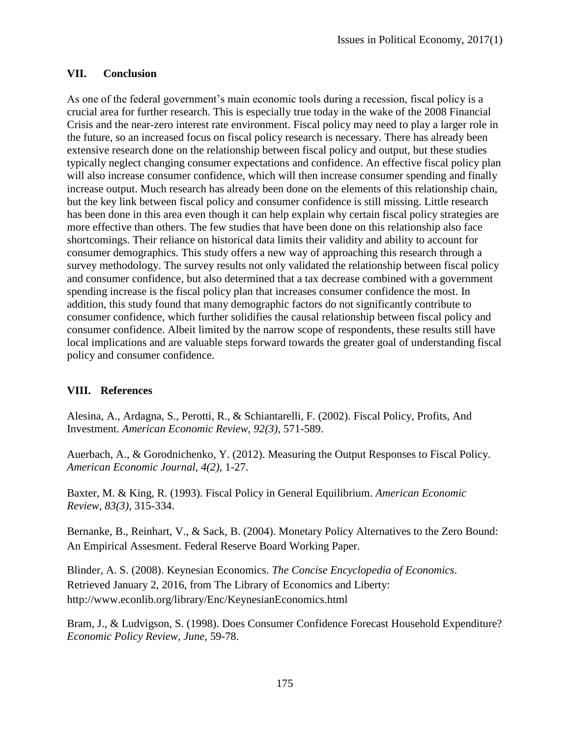### **VII. Conclusion**

As one of the federal government's main economic tools during a recession, fiscal policy is a crucial area for further research. This is especially true today in the wake of the 2008 Financial Crisis and the near-zero interest rate environment. Fiscal policy may need to play a larger role in the future, so an increased focus on fiscal policy research is necessary. There has already been extensive research done on the relationship between fiscal policy and output, but these studies typically neglect changing consumer expectations and confidence. An effective fiscal policy plan will also increase consumer confidence, which will then increase consumer spending and finally increase output. Much research has already been done on the elements of this relationship chain, but the key link between fiscal policy and consumer confidence is still missing. Little research has been done in this area even though it can help explain why certain fiscal policy strategies are more effective than others. The few studies that have been done on this relationship also face shortcomings. Their reliance on historical data limits their validity and ability to account for consumer demographics. This study offers a new way of approaching this research through a survey methodology. The survey results not only validated the relationship between fiscal policy and consumer confidence, but also determined that a tax decrease combined with a government spending increase is the fiscal policy plan that increases consumer confidence the most. In addition, this study found that many demographic factors do not significantly contribute to consumer confidence, which further solidifies the causal relationship between fiscal policy and consumer confidence. Albeit limited by the narrow scope of respondents, these results still have local implications and are valuable steps forward towards the greater goal of understanding fiscal policy and consumer confidence.

### **VIII. References**

Alesina, A., Ardagna, S., Perotti, R., & Schiantarelli, F. (2002). Fiscal Policy, Profits, And Investment. *American Economic Review, 92(3),* 571-589.

Auerbach, A., & Gorodnichenko, Y. (2012). Measuring the Output Responses to Fiscal Policy. *American Economic Journal, 4(2),* 1-27.

Baxter, M. & King, R. (1993). Fiscal Policy in General Equilibrium. *American Economic Review, 83(3),* 315-334.

Bernanke, B., Reinhart, V., & Sack, B. (2004). Monetary Policy Alternatives to the Zero Bound: An Empirical Assesment. Federal Reserve Board Working Paper.

Blinder, A. S. (2008). Keynesian Economics. *The Concise Encyclopedia of Economics*. Retrieved January 2, 2016, from The Library of Economics and Liberty: http://www.econlib.org/library/Enc/KeynesianEconomics.html

Bram, J., & Ludvigson, S. (1998). Does Consumer Confidence Forecast Household Expenditure? *Economic Policy Review, June,* 59-78.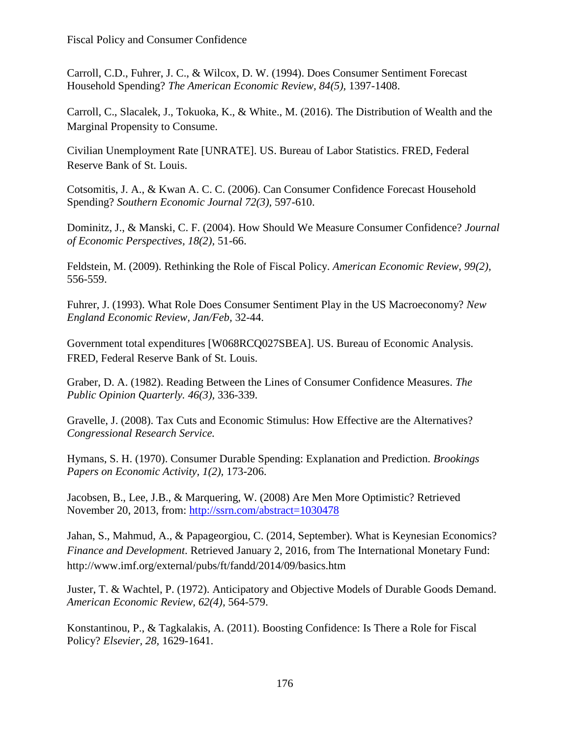Carroll, C.D., Fuhrer, J. C., & Wilcox, D. W. (1994). Does Consumer Sentiment Forecast Household Spending? *The American Economic Review, 84(5),* 1397-1408.

Carroll, C., Slacalek, J., Tokuoka, K., & White., M. (2016). The Distribution of Wealth and the Marginal Propensity to Consume.

Civilian Unemployment Rate [UNRATE]. US. Bureau of Labor Statistics. FRED, Federal Reserve Bank of St. Louis.

Cotsomitis, J. A., & Kwan A. C. C. (2006). Can Consumer Confidence Forecast Household Spending? *Southern Economic Journal 72(3),* 597-610.

Dominitz, J., & Manski, C. F. (2004). How Should We Measure Consumer Confidence? *Journal of Economic Perspectives, 18(2),* 51-66.

Feldstein, M. (2009). Rethinking the Role of Fiscal Policy. *American Economic Review, 99(2),*  556-559.

Fuhrer, J. (1993). What Role Does Consumer Sentiment Play in the US Macroeconomy? *New England Economic Review, Jan/Feb,* 32-44.

Government total expenditures [W068RCQ027SBEA]. US. Bureau of Economic Analysis. FRED, Federal Reserve Bank of St. Louis.

Graber, D. A. (1982). Reading Between the Lines of Consumer Confidence Measures. *The Public Opinion Quarterly. 46(3),* 336-339.

Gravelle, J. (2008). Tax Cuts and Economic Stimulus: How Effective are the Alternatives? *Congressional Research Service.*

Hymans, S. H. (1970). Consumer Durable Spending: Explanation and Prediction. *Brookings Papers on Economic Activity, 1(2),* 173-206.

Jacobsen, B., Lee, J.B., & Marquering, W. (2008) Are Men More Optimistic? Retrieved November 20, 2013, from:<http://ssrn.com/abstract=1030478>

Jahan, S., Mahmud, A., & Papageorgiou, C. (2014, September). What is Keynesian Economics? *Finance and Development*. Retrieved January 2, 2016, from The International Monetary Fund: http://www.imf.org/external/pubs/ft/fandd/2014/09/basics.htm

Juster, T. & Wachtel, P. (1972). Anticipatory and Objective Models of Durable Goods Demand. *American Economic Review, 62(4),* 564-579.

Konstantinou, P., & Tagkalakis, A. (2011). Boosting Confidence: Is There a Role for Fiscal Policy? *Elsevier, 28,* 1629-1641.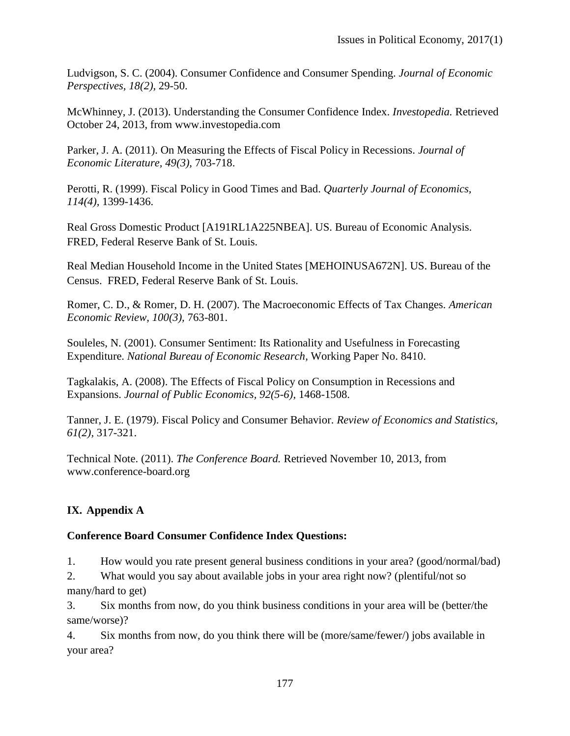Ludvigson, S. C. (2004). Consumer Confidence and Consumer Spending. *Journal of Economic Perspectives, 18(2),* 29-50.

McWhinney, J. (2013). Understanding the Consumer Confidence Index. *Investopedia.* Retrieved October 24, 2013, from www.investopedia.com

Parker, J. A. (2011). On Measuring the Effects of Fiscal Policy in Recessions. *Journal of Economic Literature, 49(3),* 703-718.

Perotti, R. (1999). Fiscal Policy in Good Times and Bad. *Quarterly Journal of Economics, 114(4),* 1399-1436.

Real Gross Domestic Product [A191RL1A225NBEA]. US. Bureau of Economic Analysis. FRED, Federal Reserve Bank of St. Louis.

Real Median Household Income in the United States [MEHOINUSA672N]. US. Bureau of the Census. FRED, Federal Reserve Bank of St. Louis.

Romer, C. D., & Romer, D. H. (2007). The Macroeconomic Effects of Tax Changes. *American Economic Review, 100(3),* 763-801.

Souleles, N. (2001). Consumer Sentiment: Its Rationality and Usefulness in Forecasting Expenditure. *National Bureau of Economic Research,* Working Paper No. 8410.

Tagkalakis, A. (2008). The Effects of Fiscal Policy on Consumption in Recessions and Expansions. *Journal of Public Economics, 92(5-6),* 1468-1508.

Tanner, J. E. (1979). Fiscal Policy and Consumer Behavior. *Review of Economics and Statistics, 61(2),* 317-321.

Technical Note. (2011). *The Conference Board.* Retrieved November 10, 2013, from www.conference-board.org

## **IX. Appendix A**

#### **Conference Board Consumer Confidence Index Questions:**

1. How would you rate present general business conditions in your area? (good/normal/bad)

2. What would you say about available jobs in your area right now? (plentiful/not so many/hard to get)

3. Six months from now, do you think business conditions in your area will be (better/the same/worse)?

4. Six months from now, do you think there will be (more/same/fewer/) jobs available in your area?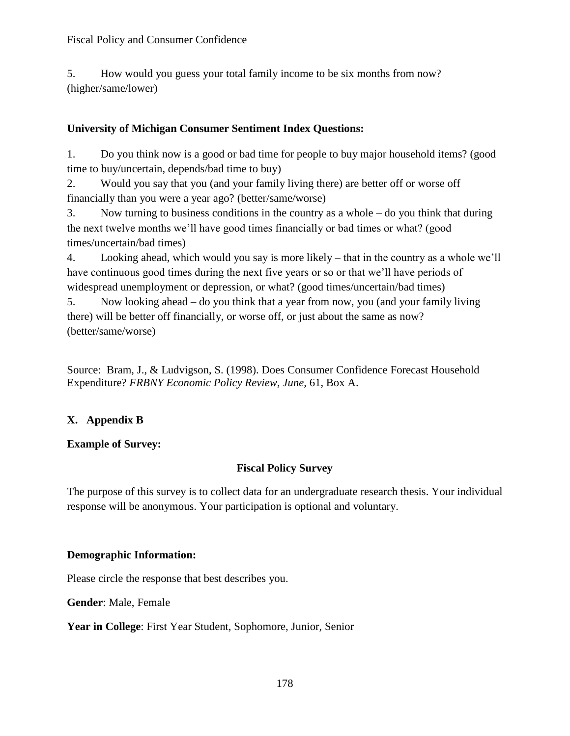5. How would you guess your total family income to be six months from now? (higher/same/lower)

### **University of Michigan Consumer Sentiment Index Questions:**

1. Do you think now is a good or bad time for people to buy major household items? (good time to buy/uncertain, depends/bad time to buy)

2. Would you say that you (and your family living there) are better off or worse off financially than you were a year ago? (better/same/worse)

3. Now turning to business conditions in the country as a whole – do you think that during the next twelve months we'll have good times financially or bad times or what? (good times/uncertain/bad times)

4. Looking ahead, which would you say is more likely – that in the country as a whole we'll have continuous good times during the next five years or so or that we'll have periods of widespread unemployment or depression, or what? (good times/uncertain/bad times)

5. Now looking ahead – do you think that a year from now, you (and your family living there) will be better off financially, or worse off, or just about the same as now? (better/same/worse)

Source: Bram, J., & Ludvigson, S. (1998). Does Consumer Confidence Forecast Household Expenditure? *FRBNY Economic Policy Review, June,* 61, Box A.

# **X. Appendix B**

### **Example of Survey:**

### **Fiscal Policy Survey**

The purpose of this survey is to collect data for an undergraduate research thesis. Your individual response will be anonymous. Your participation is optional and voluntary.

### **Demographic Information:**

Please circle the response that best describes you.

**Gender**: Male, Female

**Year in College**: First Year Student, Sophomore, Junior, Senior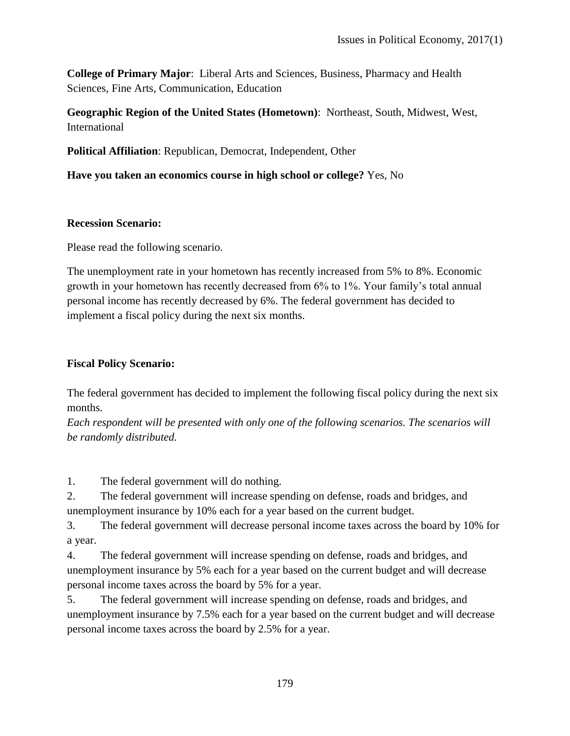**College of Primary Major**: Liberal Arts and Sciences, Business, Pharmacy and Health Sciences, Fine Arts, Communication, Education

**Geographic Region of the United States (Hometown)**: Northeast, South, Midwest, West, International

**Political Affiliation**: Republican, Democrat, Independent, Other

**Have you taken an economics course in high school or college?** Yes, No

#### **Recession Scenario:**

Please read the following scenario.

The unemployment rate in your hometown has recently increased from 5% to 8%. Economic growth in your hometown has recently decreased from 6% to 1%. Your family's total annual personal income has recently decreased by 6%. The federal government has decided to implement a fiscal policy during the next six months.

### **Fiscal Policy Scenario:**

The federal government has decided to implement the following fiscal policy during the next six months.

*Each respondent will be presented with only one of the following scenarios. The scenarios will be randomly distributed.*

1. The federal government will do nothing.

2. The federal government will increase spending on defense, roads and bridges, and unemployment insurance by 10% each for a year based on the current budget.

3. The federal government will decrease personal income taxes across the board by 10% for a year.

4. The federal government will increase spending on defense, roads and bridges, and unemployment insurance by 5% each for a year based on the current budget and will decrease personal income taxes across the board by 5% for a year.

5. The federal government will increase spending on defense, roads and bridges, and unemployment insurance by 7.5% each for a year based on the current budget and will decrease personal income taxes across the board by 2.5% for a year.